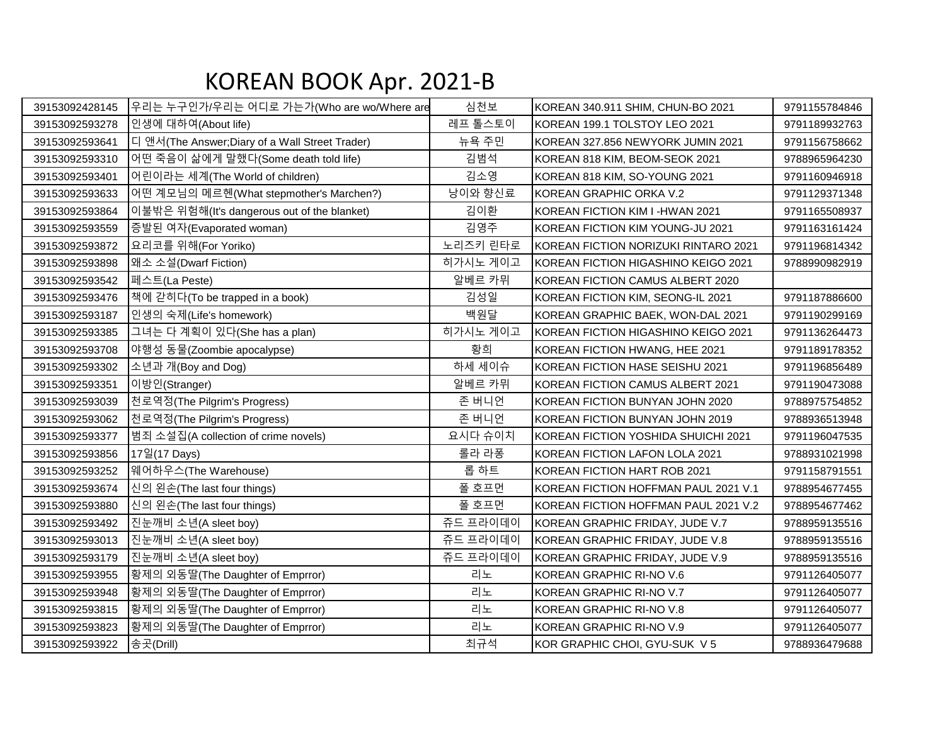## KOREAN BOOK Apr. 2021-B

| 39153092428145 | 우리는 누구인가/우리는 어디로 가는가(Who are wo/Where are      | 심천보      | KOREAN 340.911 SHIM, CHUN-BO 2021    | 9791155784846 |
|----------------|------------------------------------------------|----------|--------------------------------------|---------------|
| 39153092593278 | 인생에 대하여(About life)                            | 레프 톨스토이  | KOREAN 199.1 TOLSTOY LEO 2021        | 9791189932763 |
| 39153092593641 | 디 앤서(The Answer;Diary of a Wall Street Trader) | 뉴욕 주민    | KOREAN 327.856 NEWYORK JUMIN 2021    | 9791156758662 |
| 39153092593310 | 어떤 죽음이 삶에게 말했다(Some death told life)           | 김범석      | KOREAN 818 KIM, BEOM-SEOK 2021       | 9788965964230 |
| 39153092593401 | 어린이라는 세계(The World of children)                | 김소영      | KOREAN 818 KIM, SO-YOUNG 2021        | 9791160946918 |
| 39153092593633 | 어떤 계모님의 메르헨(What stepmother's Marchen?)        | 낭이와 향신료  | KOREAN GRAPHIC ORKA V.2              | 9791129371348 |
| 39153092593864 | 이불밖은 위험해(It's dangerous out of the blanket)    | 김이환      | KOREAN FICTION KIM I-HWAN 2021       | 9791165508937 |
| 39153092593559 | 증발된 여자(Evaporated woman)                       | 김영주      | KOREAN FICTION KIM YOUNG-JU 2021     | 9791163161424 |
| 39153092593872 | 요리코를 위해(For Yoriko)                            | 노리즈키 린타로 | KOREAN FICTION NORIZUKI RINTARO 2021 | 9791196814342 |
| 39153092593898 | 왜소 소설(Dwarf Fiction)                           | 히가시노 게이고 | KOREAN FICTION HIGASHINO KEIGO 2021  | 9788990982919 |
| 39153092593542 | 페스트(La Peste)                                  | 알베르 카뮈   | KOREAN FICTION CAMUS ALBERT 2020     |               |
| 39153092593476 | 책에 갇히다(To be trapped in a book)                | 김성일      | KOREAN FICTION KIM, SEONG-IL 2021    | 9791187886600 |
| 39153092593187 | 인생의 숙제(Life's homework)                        | 백원달      | KOREAN GRAPHIC BAEK, WON-DAL 2021    | 9791190299169 |
| 39153092593385 | 그녀는 다 계획이 있다(She has a plan)                   | 히가시노 게이고 | KOREAN FICTION HIGASHINO KEIGO 2021  | 9791136264473 |
| 39153092593708 | 야행성 동물(Zoombie apocalypse)                     | 황희       | KOREAN FICTION HWANG, HEE 2021       | 9791189178352 |
| 39153092593302 | 소년과 개(Boy and Dog)                             | 하세 세이슈   | KOREAN FICTION HASE SEISHU 2021      | 9791196856489 |
| 39153092593351 | 이방인(Stranger)                                  | 알베르 카뮈   | KOREAN FICTION CAMUS ALBERT 2021     | 9791190473088 |
| 39153092593039 | 천로역정(The Pilgrim's Progress)                   | 존 버니언    | KOREAN FICTION BUNYAN JOHN 2020      | 9788975754852 |
| 39153092593062 | 천로역정(The Pilgrim's Progress)                   | 존 버니언    | KOREAN FICTION BUNYAN JOHN 2019      | 9788936513948 |
| 39153092593377 | 범죄 소설집(A collection of crime novels)           | 요시다 슈이치  | KOREAN FICTION YOSHIDA SHUICHI 2021  | 9791196047535 |
| 39153092593856 | 17일(17 Days)                                   | 롤라 라퐁    | KOREAN FICTION LAFON LOLA 2021       | 9788931021998 |
| 39153092593252 | 웨어하우스(The Warehouse)                           | 롭 하트     | KOREAN FICTION HART ROB 2021         | 9791158791551 |
| 39153092593674 | 신의 왼손(The last four things)                    | 폴 호프먼    | KOREAN FICTION HOFFMAN PAUL 2021 V.1 | 9788954677455 |
| 39153092593880 | 신의 왼손(The last four things)                    | 폴 호프먼    | KOREAN FICTION HOFFMAN PAUL 2021 V.2 | 9788954677462 |
| 39153092593492 | 진눈깨비 소년(A sleet boy)                           | 쥬드 프라이데이 | KOREAN GRAPHIC FRIDAY, JUDE V.7      | 9788959135516 |
| 39153092593013 | 진눈깨비 소년(A sleet boy)                           | 쥬드 프라이데이 | KOREAN GRAPHIC FRIDAY, JUDE V.8      | 9788959135516 |
| 39153092593179 | 진눈깨비 소년(A sleet boy)                           | 쥬드 프라이데이 | KOREAN GRAPHIC FRIDAY, JUDE V.9      | 9788959135516 |
| 39153092593955 | 황제의 외동딸(The Daughter of Emprror)               | 리노       | KOREAN GRAPHIC RI-NO V.6             | 9791126405077 |
| 39153092593948 | 황제의 외동딸(The Daughter of Emprror)               | 리노       | KOREAN GRAPHIC RI-NO V.7             | 9791126405077 |
| 39153092593815 | 황제의 외동딸(The Daughter of Emprror)               | 리노       | KOREAN GRAPHIC RI-NO V.8             | 9791126405077 |
| 39153092593823 | 황제의 외동딸(The Daughter of Emprror)               | 리노       | KOREAN GRAPHIC RI-NO V.9             | 9791126405077 |
| 39153092593922 | 송곳(Drill)                                      | 최규석      | KOR GRAPHIC CHOI, GYU-SUK V 5        | 9788936479688 |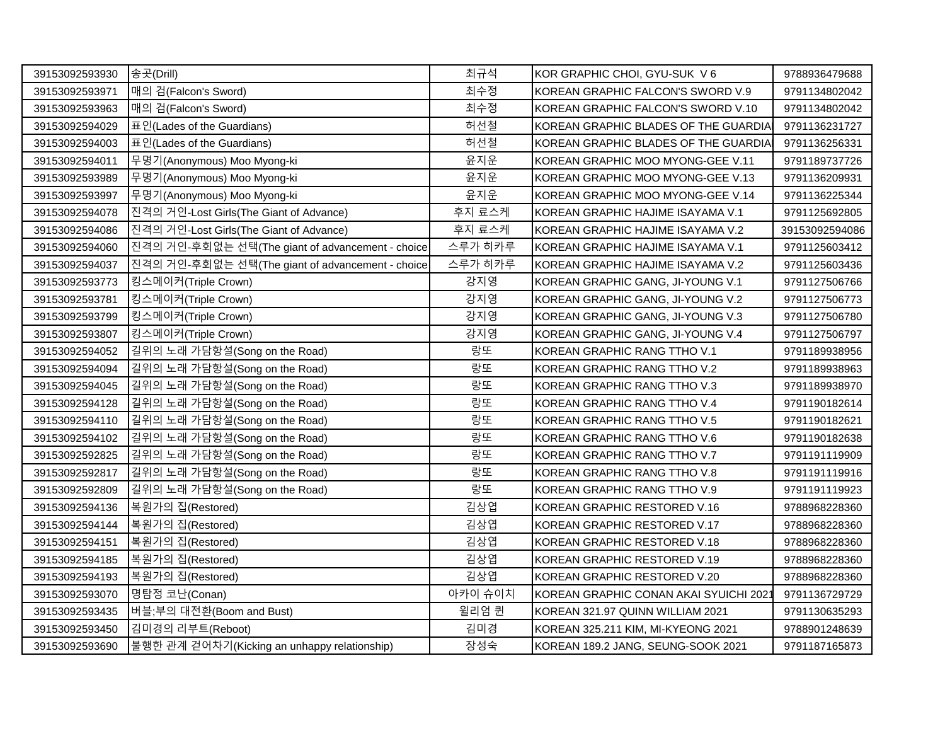| 39153092593930 | 송곳(Drill)                                        | 최규석     | KOR GRAPHIC CHOI, GYU-SUK V6           | 9788936479688  |
|----------------|--------------------------------------------------|---------|----------------------------------------|----------------|
| 39153092593971 | 매의 검(Falcon's Sword)                             | 최수정     | KOREAN GRAPHIC FALCON'S SWORD V.9      | 9791134802042  |
| 39153092593963 | 매의 검(Falcon's Sword)                             | 최수정     | KOREAN GRAPHIC FALCON'S SWORD V.10     | 9791134802042  |
| 39153092594029 | 표인(Lades of the Guardians)                       | 허선철     | KOREAN GRAPHIC BLADES OF THE GUARDIA   | 9791136231727  |
| 39153092594003 | 표인(Lades of the Guardians)                       | 허선철     | KOREAN GRAPHIC BLADES OF THE GUARDIA   | 9791136256331  |
| 39153092594011 | 무명기(Anonymous) Moo Myong-ki                      | 윤지운     | KOREAN GRAPHIC MOO MYONG-GEE V.11      | 9791189737726  |
| 39153092593989 | 무명기(Anonymous) Moo Myong-ki                      | 윤지운     | KOREAN GRAPHIC MOO MYONG-GEE V.13      | 9791136209931  |
| 39153092593997 | 무명기(Anonymous) Moo Myong-ki                      | 윤지운     | KOREAN GRAPHIC MOO MYONG-GEE V.14      | 9791136225344  |
| 39153092594078 | 진격의 거인-Lost Girls(The Giant of Advance)          | 후지 료스케  | KOREAN GRAPHIC HAJIME ISAYAMA V.1      | 9791125692805  |
| 39153092594086 | 진격의 거인-Lost Girls(The Giant of Advance)          | 후지 료스케  | KOREAN GRAPHIC HAJIME ISAYAMA V.2      | 39153092594086 |
| 39153092594060 | 진격의 거인-후회없는 선택(The giant of advancement - choice | 스루가 히카루 | KOREAN GRAPHIC HAJIME ISAYAMA V.1      | 9791125603412  |
| 39153092594037 | 진격의 거인-후회없는 선택(The giant of advancement - choice | 스루가 히카루 | KOREAN GRAPHIC HAJIME ISAYAMA V.2      | 9791125603436  |
| 39153092593773 | 킹스메이커(Triple Crown)                              | 강지영     | KOREAN GRAPHIC GANG, JI-YOUNG V.1      | 9791127506766  |
| 39153092593781 | 킹스메이커(Triple Crown)                              | 강지영     | KOREAN GRAPHIC GANG, JI-YOUNG V.2      | 9791127506773  |
| 39153092593799 | 킹스메이커(Triple Crown)                              | 강지영     | KOREAN GRAPHIC GANG, JI-YOUNG V.3      | 9791127506780  |
| 39153092593807 | 킹스메이커(Triple Crown)                              | 강지영     | KOREAN GRAPHIC GANG, JI-YOUNG V.4      | 9791127506797  |
| 39153092594052 | 길위의 노래 가담항설(Song on the Road)                    | 랑또      | KOREAN GRAPHIC RANG TTHO V.1           | 9791189938956  |
| 39153092594094 | 길위의 노래 가담항설(Song on the Road)                    | 랑또      | KOREAN GRAPHIC RANG TTHO V.2           | 9791189938963  |
| 39153092594045 | 길위의 노래 가담항설(Song on the Road)                    | 랑또      | KOREAN GRAPHIC RANG TTHO V.3           | 9791189938970  |
| 39153092594128 | 길위의 노래 가담항설(Song on the Road)                    | 랑또      | KOREAN GRAPHIC RANG TTHO V.4           | 9791190182614  |
| 39153092594110 | 길위의 노래 가담항설(Song on the Road)                    | 랑또      | KOREAN GRAPHIC RANG TTHO V.5           | 9791190182621  |
| 39153092594102 | 길위의 노래 가담항설(Song on the Road)                    | 랑또      | KOREAN GRAPHIC RANG TTHO V.6           | 9791190182638  |
| 39153092592825 | 길위의 노래 가담항설(Song on the Road)                    | 랑또      | KOREAN GRAPHIC RANG TTHO V.7           | 9791191119909  |
| 39153092592817 | 길위의 노래 가담항설(Song on the Road)                    | 랑또      | KOREAN GRAPHIC RANG TTHO V.8           | 9791191119916  |
| 39153092592809 | 길위의 노래 가담항설(Song on the Road)                    | 랑또      | KOREAN GRAPHIC RANG TTHO V.9           | 9791191119923  |
| 39153092594136 | 복원가의 집(Restored)                                 | 김상엽     | KOREAN GRAPHIC RESTORED V.16           | 9788968228360  |
| 39153092594144 | 복원가의 집(Restored)                                 | 김상엽     | KOREAN GRAPHIC RESTORED V.17           | 9788968228360  |
| 39153092594151 | 복원가의 집(Restored)                                 | 김상엽     | KOREAN GRAPHIC RESTORED V.18           | 9788968228360  |
| 39153092594185 | 복원가의 집(Restored)                                 | 김상엽     | KOREAN GRAPHIC RESTORED V.19           | 9788968228360  |
| 39153092594193 | 복원가의 집(Restored)                                 | 김상엽     | KOREAN GRAPHIC RESTORED V.20           | 9788968228360  |
| 39153092593070 | 명탐정 코난(Conan)                                    | 아카이 슈이치 | KOREAN GRAPHIC CONAN AKAI SYUICHI 2021 | 9791136729729  |
| 39153092593435 | 버블;부의 대전환(Boom and Bust)                         | 윌리엄 퀸   | KOREAN 321.97 QUINN WILLIAM 2021       | 9791130635293  |
| 39153092593450 | 김미경의 리부트(Reboot)                                 | 김미경     | KOREAN 325.211 KIM, MI-KYEONG 2021     | 9788901248639  |
| 39153092593690 | 불행한 관계 걷어차기(Kicking an unhappy relationship)     | 장성숙     | KOREAN 189.2 JANG, SEUNG-SOOK 2021     | 9791187165873  |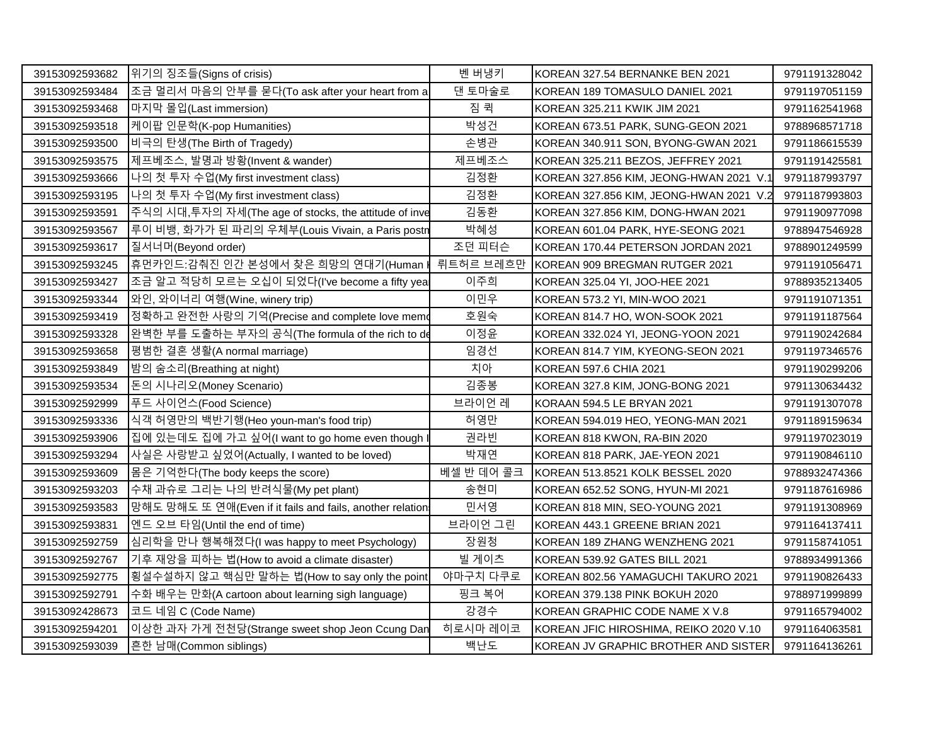| 39153092593682 | 위기의 징조들(Signs of crisis)                                  | 벤 버냉키      | KOREAN 327.54 BERNANKE BEN 2021         | 9791191328042 |
|----------------|-----------------------------------------------------------|------------|-----------------------------------------|---------------|
| 39153092593484 | 조금 멀리서 마음의 안부를 묻다(To ask after your heart from a          | 댄 토마술로     | KOREAN 189 TOMASULO DANIEL 2021         | 9791197051159 |
| 39153092593468 | 마지막 몰입(Last immersion)                                    | 짐 퀵        | KOREAN 325.211 KWIK JIM 2021            | 9791162541968 |
| 39153092593518 | 케이팝 인문학(K-pop Humanities)                                 | 박성건        | KOREAN 673.51 PARK, SUNG-GEON 2021      | 9788968571718 |
| 39153092593500 | 비극의 탄생(The Birth of Tragedy)                              | 손병관        | KOREAN 340.911 SON, BYONG-GWAN 2021     | 9791186615539 |
| 39153092593575 | 제프베조스, 발명과 방황(Invent & wander)                            | 제프베조스      | KOREAN 325.211 BEZOS, JEFFREY 2021      | 9791191425581 |
| 39153092593666 | 나의 첫 투자 수업(My first investment class)                     | 김정환        | KOREAN 327.856 KIM, JEONG-HWAN 2021 V.1 | 9791187993797 |
| 39153092593195 | 나의 첫 투자 수업(My first investment class)                     | 김정환        | KOREAN 327.856 KIM, JEONG-HWAN 2021 V.2 | 9791187993803 |
| 39153092593591 | 주식의 시대, 투자의 자세(The age of stocks, the attitude of inve    | 김동환        | KOREAN 327.856 KIM, DONG-HWAN 2021      | 9791190977098 |
| 39153092593567 | 루이 비뱅, 화가가 된 파리의 우체부(Louis Vivain, a Paris postn          | 박혜성        | KOREAN 601.04 PARK, HYE-SEONG 2021      | 9788947546928 |
| 39153092593617 | 질서너머(Beyond order)                                        | 조던 피터슨     | KOREAN 170.44 PETERSON JORDAN 2021      | 9788901249599 |
| 39153092593245 | │휴먼카인드:감춰진 인간 본성에서 찾은 희망의 연대기(Human ∦ 뤼트허르 브레흐만           |            | KOREAN 909 BREGMAN RUTGER 2021          | 9791191056471 |
| 39153092593427 | 조금 알고 적당히 모르는 오십이 되었다(I've become a fifty yea             | 이주희        | KOREAN 325.04 YI, JOO-HEE 2021          | 9788935213405 |
| 39153092593344 | 와인, 와이너리 여행(Wine, winery trip)                            | 이민우        | KOREAN 573.2 YI, MIN-WOO 2021           | 9791191071351 |
| 39153092593419 | 정확하고 완전한 사랑의 기억(Precise and complete love memo            | 호원숙        | KOREAN 814.7 HO, WON-SOOK 2021          | 9791191187564 |
| 39153092593328 | 완벽한 부를 도출하는 부자의 공식(The formula of the rich to de          | 이정윤        | KOREAN 332.024 YI, JEONG-YOON 2021      | 9791190242684 |
| 39153092593658 | 평범한 결혼 생활(A normal marriage)                              | 임경선        | KOREAN 814.7 YIM, KYEONG-SEON 2021      | 9791197346576 |
| 39153092593849 | 밤의 숨소리(Breathing at night)                                | 치아         | KOREAN 597.6 CHIA 2021                  | 9791190299206 |
| 39153092593534 | 돈의 시나리오(Money Scenario)                                   | 김종봉        | KOREAN 327.8 KIM, JONG-BONG 2021        | 9791130634432 |
| 39153092592999 | 푸드 사이언스(Food Science)                                     | 브라이언 레     | KORAAN 594.5 LE BRYAN 2021              | 9791191307078 |
| 39153092593336 | 식객 허영만의 백반기행(Heo youn-man's food trip)                    | 허영만        | KOREAN 594.019 HEO, YEONG-MAN 2021      | 9791189159634 |
| 39153092593906 | 집에 있는데도 집에 가고 싶어(I want to go home even though            | 권라빈        | KOREAN 818 KWON, RA-BIN 2020            | 9791197023019 |
| 39153092593294 | 사실은 사랑받고 싶었어(Actually, I wanted to be loved)              | 박재연        | KOREAN 818 PARK, JAE-YEON 2021          | 9791190846110 |
| 39153092593609 | 몸은 기억한다(The body keeps the score)                         | 베셀 반 데어 콜크 | KOREAN 513.8521 KOLK BESSEL 2020        | 9788932474366 |
| 39153092593203 | 수채 과슈로 그리는 나의 반려식물(My pet plant)                          | 송현미        | KOREAN 652.52 SONG, HYUN-MI 2021        | 9791187616986 |
| 39153092593583 | 망해도 망해도 또 연애(Even if it fails and fails, another relation | 민서영        | KOREAN 818 MIN, SEO-YOUNG 2021          | 9791191308969 |
| 39153092593831 | 엔드 오브 타임(Until the end of time)                           | 브라이언 그린    | KOREAN 443.1 GREENE BRIAN 2021          | 9791164137411 |
| 39153092592759 | 심리학을 만나 행복해졌다(I was happy to meet Psychology)             | 장원청        | KOREAN 189 ZHANG WENZHENG 2021          | 9791158741051 |
| 39153092592767 | 기후 재앙을 피하는 법(How to avoid a climate disaster)             | 빌 게이츠      | KOREAN 539.92 GATES BILL 2021           | 9788934991366 |
| 39153092592775 | 횡설수설하지 않고 핵심만 말하는 법(How to say only the point             | 야마구치 다쿠로   | KOREAN 802.56 YAMAGUCHI TAKURO 2021     | 9791190826433 |
| 39153092592791 | 수화 배우는 만화(A cartoon about learning sigh language)         | 핑크 복어      | KOREAN 379.138 PINK BOKUH 2020          | 9788971999899 |
| 39153092428673 | 코드 네임 C (Code Name)                                       | 강경수        | KOREAN GRAPHIC CODE NAME X V.8          | 9791165794002 |
| 39153092594201 | 이상한 과자 가게 전천당(Strange sweet shop Jeon Ccung Dan           | 히로시마 레이코   | KOREAN JFIC HIROSHIMA, REIKO 2020 V.10  | 9791164063581 |
| 39153092593039 | 흔한 남매(Common siblings)                                    | 백난도        | KOREAN JV GRAPHIC BROTHER AND SISTER    | 9791164136261 |